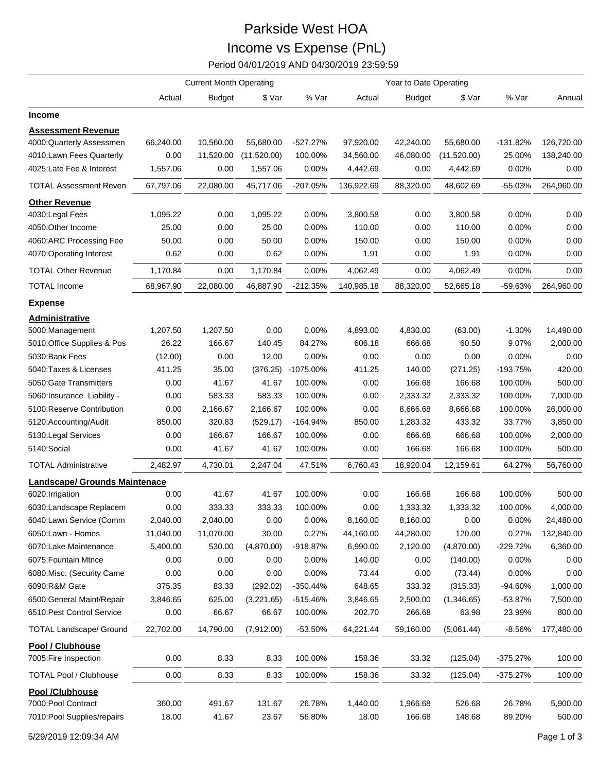## Parkside West HOA Income vs Expense (PnL)

Period 04/01/2019 AND 04/30/2019 23:59:59

|                                      | <b>Current Month Operating</b> |               |             |            | Year to Date Operating |               |             |            |            |
|--------------------------------------|--------------------------------|---------------|-------------|------------|------------------------|---------------|-------------|------------|------------|
|                                      | Actual                         | <b>Budget</b> | \$ Var      | % Var      | Actual                 | <b>Budget</b> | \$ Var      | % Var      | Annual     |
| <b>Income</b>                        |                                |               |             |            |                        |               |             |            |            |
| <b>Assessment Revenue</b>            |                                |               |             |            |                        |               |             |            |            |
| 4000:Quarterly Assessmen             | 66,240.00                      | 10,560.00     | 55,680.00   | $-527.27%$ | 97,920.00              | 42,240.00     | 55,680.00   | $-131.82%$ | 126,720.00 |
| 4010:Lawn Fees Quarterly             | 0.00                           | 11,520.00     | (11,520.00) | 100.00%    | 34,560.00              | 46,080.00     | (11,520.00) | 25.00%     | 138,240.00 |
| 4025:Late Fee & Interest             | 1,557.06                       | 0.00          | 1,557.06    | 0.00%      | 4,442.69               | 0.00          | 4,442.69    | 0.00%      | 0.00       |
| <b>TOTAL Assessment Reven</b>        | 67,797.06                      | 22,080.00     | 45,717.06   | $-207.05%$ | 136,922.69             | 88,320.00     | 48,602.69   | $-55.03%$  | 264,960.00 |
| <b>Other Revenue</b>                 |                                |               |             |            |                        |               |             |            |            |
| 4030: Legal Fees                     | 1,095.22                       | 0.00          | 1,095.22    | 0.00%      | 3,800.58               | 0.00          | 3,800.58    | 0.00%      | 0.00       |
| 4050:Other Income                    | 25.00                          | 0.00          | 25.00       | 0.00%      | 110.00                 | 0.00          | 110.00      | 0.00%      | 0.00       |
| 4060:ARC Processing Fee              | 50.00                          | 0.00          | 50.00       | 0.00%      | 150.00                 | 0.00          | 150.00      | 0.00%      | 0.00       |
| 4070:Operating Interest              | 0.62                           | 0.00          | 0.62        | 0.00%      | 1.91                   | 0.00          | 1.91        | 0.00%      | 0.00       |
| <b>TOTAL Other Revenue</b>           | 1,170.84                       | 0.00          | 1,170.84    | 0.00%      | 4,062.49               | 0.00          | 4,062.49    | 0.00%      | 0.00       |
| <b>TOTAL Income</b>                  | 68,967.90                      | 22,080.00     | 46,887.90   | $-212.35%$ | 140,985.18             | 88,320.00     | 52,665.18   | -59.63%    | 264,960.00 |
| <b>Expense</b>                       |                                |               |             |            |                        |               |             |            |            |
| <b>Administrative</b>                |                                |               |             |            |                        |               |             |            |            |
| 5000:Management                      | 1,207.50                       | 1,207.50      | 0.00        | 0.00%      | 4,893.00               | 4,830.00      | (63.00)     | $-1.30%$   | 14,490.00  |
| 5010:Office Supplies & Pos           | 26.22                          | 166.67        | 140.45      | 84.27%     | 606.18                 | 666.68        | 60.50       | 9.07%      | 2,000.00   |
| 5030:Bank Fees                       | (12.00)                        | 0.00          | 12.00       | 0.00%      | 0.00                   | 0.00          | 0.00        | 0.00%      | 0.00       |
| 5040: Taxes & Licenses               | 411.25                         | 35.00         | (376.25)    | -1075.00%  | 411.25                 | 140.00        | (271.25)    | $-193.75%$ | 420.00     |
| 5050: Gate Transmitters              | 0.00                           | 41.67         | 41.67       | 100.00%    | 0.00                   | 166.68        | 166.68      | 100.00%    | 500.00     |
| 5060: Insurance Liability -          | 0.00                           | 583.33        | 583.33      | 100.00%    | 0.00                   | 2,333.32      | 2,333.32    | 100.00%    | 7,000.00   |
| 5100:Reserve Contribution            | 0.00                           | 2,166.67      | 2,166.67    | 100.00%    | 0.00                   | 8,666.68      | 8,666.68    | 100.00%    | 26,000.00  |
| 5120:Accounting/Audit                | 850.00                         | 320.83        | (529.17)    | $-164.94%$ | 850.00                 | 1,283.32      | 433.32      | 33.77%     | 3,850.00   |
| 5130: Legal Services                 | 0.00                           | 166.67        | 166.67      | 100.00%    | 0.00                   | 666.68        | 666.68      | 100.00%    | 2,000.00   |
| 5140:Social                          | 0.00                           | 41.67         | 41.67       | 100.00%    | 0.00                   | 166.68        | 166.68      | 100.00%    | 500.00     |
| <b>TOTAL Administrative</b>          | 2,482.97                       | 4,730.01      | 2,247.04    | 47.51%     | 6,760.43               | 18,920.04     | 12,159.61   | 64.27%     | 56,760.00  |
|                                      |                                |               |             |            |                        |               |             |            |            |
| <b>Landscape/ Grounds Maintenace</b> |                                | 41.67         |             | 100.00%    |                        | 166.68        | 166.68      |            |            |
| 6020: Irrigation                     | 0.00                           |               | 41.67       |            | 0.00                   |               |             | 100.00%    | 500.00     |
| 6030:Landscape Replacem              | 0.00                           | 333.33        | 333.33      | 100.00%    | 0.00                   | 1,333.32      | 1,333.32    | 100.00%    | 4,000.00   |
| 6040:Lawn Service (Comm              | 2,040.00                       | 2,040.00      | 0.00        | 0.00%      | 8,160.00               | 8,160.00      | 0.00        | 0.00%      | 24,480.00  |
| 6050:Lawn - Homes                    | 11,040.00                      | 11,070.00     | 30.00       | 0.27%      | 44,160.00              | 44,280.00     | 120.00      | 0.27%      | 132,840.00 |
| 6070:Lake Maintenance                | 5,400.00                       | 530.00        | (4,870.00)  | -918.87%   | 6,990.00               | 2,120.00      | (4,870.00)  | -229.72%   | 6,360.00   |
| 6075: Fountain Mtnce                 | 0.00                           | 0.00          | 0.00        | 0.00%      | 140.00                 | 0.00          | (140.00)    | 0.00%      | 0.00       |
| 6080:Misc. (Security Came            | 0.00                           | 0.00          | 0.00        | 0.00%      | 73.44                  | 0.00          | (73.44)     | 0.00%      | 0.00       |
| 6090:R&M Gate                        | 375.35                         | 83.33         | (292.02)    | $-350.44%$ | 648.65                 | 333.32        | (315.33)    | $-94.60%$  | 1,000.00   |
| 6500: General Maint/Repair           | 3,846.65                       | 625.00        | (3,221.65)  | -515.46%   | 3,846.65               | 2,500.00      | (1,346.65)  | $-53.87%$  | 7,500.00   |
| 6510: Pest Control Service           | 0.00                           | 66.67         | 66.67       | 100.00%    | 202.70                 | 266.68        | 63.98       | 23.99%     | 800.00     |
| <b>TOTAL Landscape/ Ground</b>       | 22,702.00                      | 14,790.00     | (7,912.00)  | -53.50%    | 64,221.44              | 59,160.00     | (5,061.44)  | -8.56%     | 177,480.00 |
| Pool / Clubhouse                     |                                |               |             |            |                        |               |             |            |            |
| 7005: Fire Inspection                | 0.00                           | 8.33          | 8.33        | 100.00%    | 158.36                 | 33.32         | (125.04)    | $-375.27%$ | 100.00     |
| <b>TOTAL Pool / Clubhouse</b>        | 0.00                           | 8.33          | 8.33        | 100.00%    | 158.36                 | 33.32         | (125.04)    | $-375.27%$ | 100.00     |
| <b>Pool /Clubhouse</b>               |                                |               |             |            |                        |               |             |            |            |
| 7000: Pool Contract                  | 360.00                         | 491.67        | 131.67      | 26.78%     | 1,440.00               | 1,966.68      | 526.68      | 26.78%     | 5,900.00   |
| 7010: Pool Supplies/repairs          | 18.00                          | 41.67         | 23.67       | 56.80%     | 18.00                  | 166.68        | 148.68      | 89.20%     | 500.00     |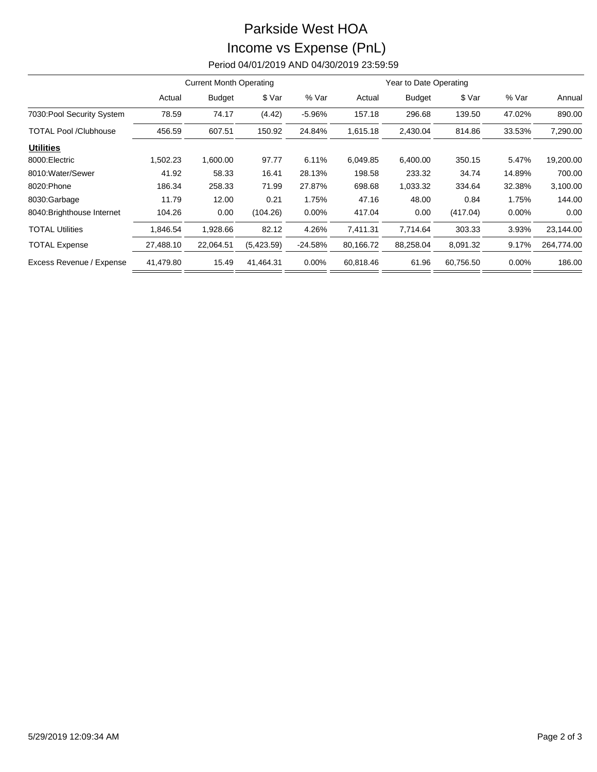## Parkside West HOA Income vs Expense (PnL)

Period 04/01/2019 AND 04/30/2019 23:59:59

|                              | <b>Current Month Operating</b> |               |            |           | Year to Date Operating |               |           |          |            |
|------------------------------|--------------------------------|---------------|------------|-----------|------------------------|---------------|-----------|----------|------------|
|                              | Actual                         | <b>Budget</b> | \$ Var     | % Var     | Actual                 | <b>Budget</b> | \$ Var    | % Var    | Annual     |
| 7030: Pool Security System   | 78.59                          | 74.17         | (4.42)     | $-5.96%$  | 157.18                 | 296.68        | 139.50    | 47.02%   | 890.00     |
| <b>TOTAL Pool /Clubhouse</b> | 456.59                         | 607.51        | 150.92     | 24.84%    | 1,615.18               | 2,430.04      | 814.86    | 33.53%   | 7,290.00   |
| <b>Utilities</b>             |                                |               |            |           |                        |               |           |          |            |
| 8000: Electric               | 1,502.23                       | 1,600.00      | 97.77      | 6.11%     | 6.049.85               | 6,400.00      | 350.15    | 5.47%    | 19,200.00  |
| 8010: Water/Sewer            | 41.92                          | 58.33         | 16.41      | 28.13%    | 198.58                 | 233.32        | 34.74     | 14.89%   | 700.00     |
| 8020: Phone                  | 186.34                         | 258.33        | 71.99      | 27.87%    | 698.68                 | 1,033.32      | 334.64    | 32.38%   | 3,100.00   |
| 8030:Garbage                 | 11.79                          | 12.00         | 0.21       | 1.75%     | 47.16                  | 48.00         | 0.84      | 1.75%    | 144.00     |
| 8040: Brighthouse Internet   | 104.26                         | 0.00          | (104.26)   | $0.00\%$  | 417.04                 | 0.00          | (417.04)  | $0.00\%$ | 0.00       |
| <b>TOTAL Utilities</b>       | 1,846.54                       | 1,928.66      | 82.12      | 4.26%     | 7,411.31               | 7,714.64      | 303.33    | 3.93%    | 23,144.00  |
| <b>TOTAL Expense</b>         | 27,488.10                      | 22,064.51     | (5,423.59) | $-24.58%$ | 80,166.72              | 88,258.04     | 8,091.32  | 9.17%    | 264,774.00 |
| Excess Revenue / Expense     | 41,479.80                      | 15.49         | 41,464.31  | 0.00%     | 60,818.46              | 61.96         | 60,756.50 | 0.00%    | 186.00     |